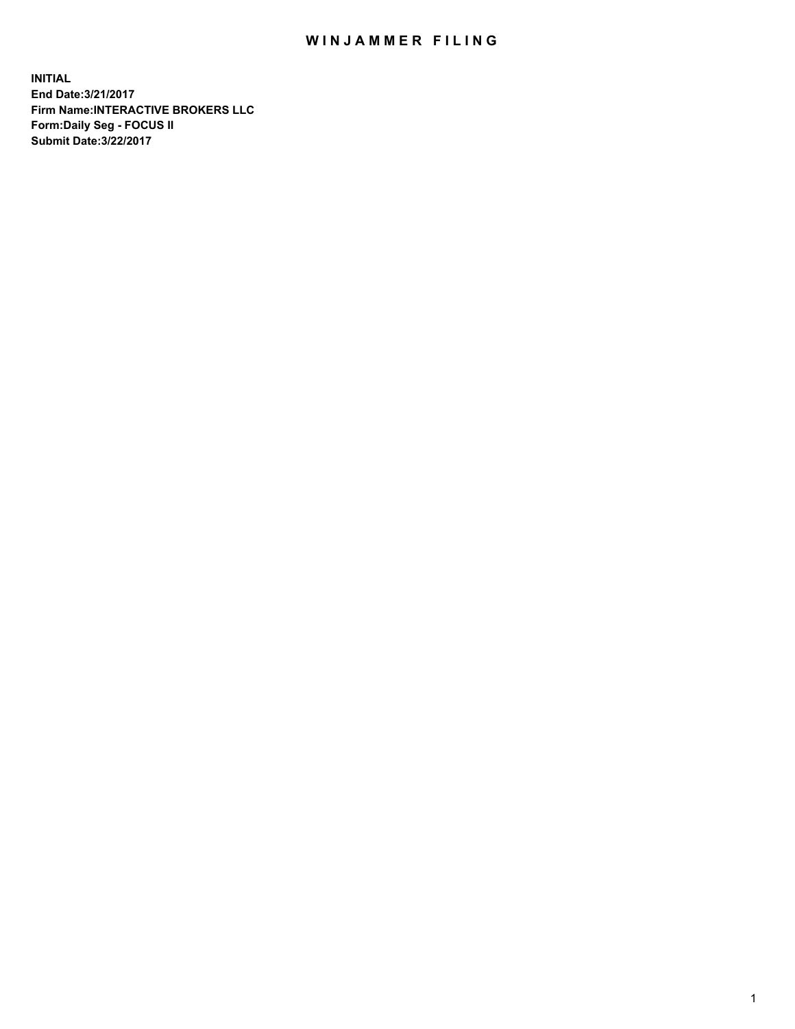## WIN JAMMER FILING

**INITIAL End Date:3/21/2017 Firm Name:INTERACTIVE BROKERS LLC Form:Daily Seg - FOCUS II Submit Date:3/22/2017**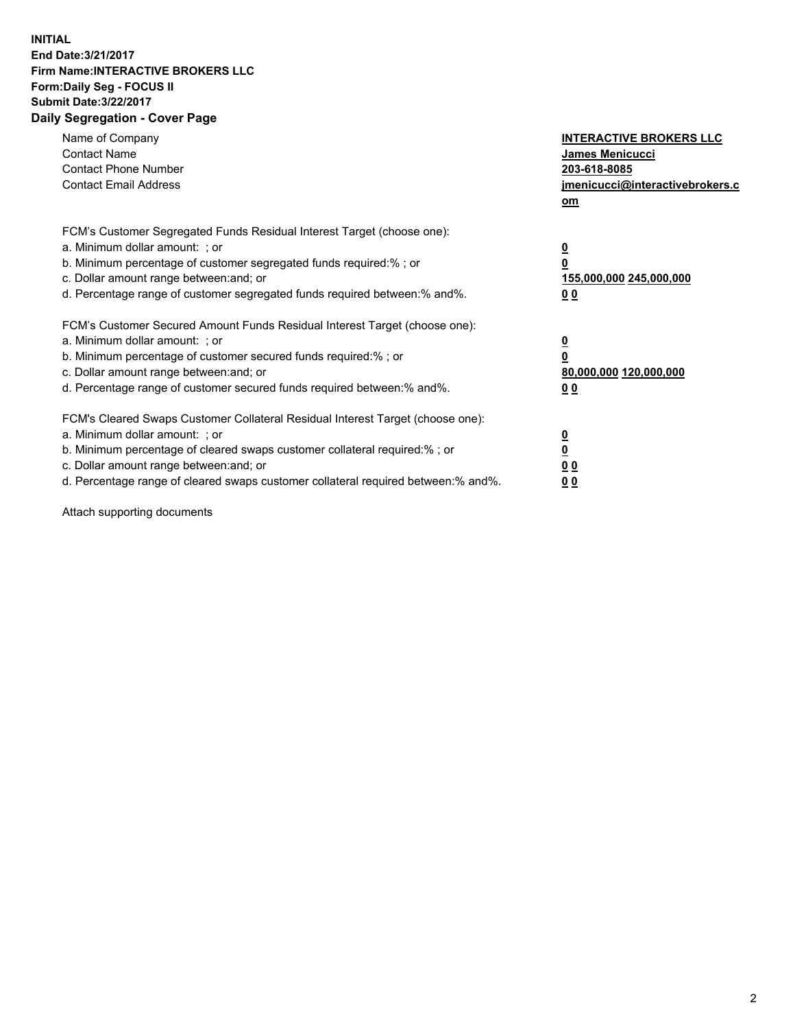## **INITIAL End Date:3/21/2017 Firm Name:INTERACTIVE BROKERS LLC Form:Daily Seg - FOCUS II Submit Date:3/22/2017 Daily Segregation - Cover Page**

| Name of Company<br><b>Contact Name</b><br><b>Contact Phone Number</b><br><b>Contact Email Address</b>                                                                                                                                                                                                                          | <b>INTERACTIVE BROKERS LLC</b><br>James Menicucci<br>203-618-8085<br>jmenicucci@interactivebrokers.c<br>om |
|--------------------------------------------------------------------------------------------------------------------------------------------------------------------------------------------------------------------------------------------------------------------------------------------------------------------------------|------------------------------------------------------------------------------------------------------------|
| FCM's Customer Segregated Funds Residual Interest Target (choose one):<br>a. Minimum dollar amount: ; or<br>b. Minimum percentage of customer segregated funds required:%; or<br>c. Dollar amount range between: and; or<br>d. Percentage range of customer segregated funds required between:% and%.                          | $\overline{\mathbf{0}}$<br>0<br>155,000,000 245,000,000<br>0 <sub>0</sub>                                  |
| FCM's Customer Secured Amount Funds Residual Interest Target (choose one):<br>a. Minimum dollar amount: ; or<br>b. Minimum percentage of customer secured funds required:%; or<br>c. Dollar amount range between: and; or<br>d. Percentage range of customer secured funds required between:% and%.                            | $\overline{\mathbf{0}}$<br>$\overline{\mathbf{0}}$<br>80,000,000 120,000,000<br>00                         |
| FCM's Cleared Swaps Customer Collateral Residual Interest Target (choose one):<br>a. Minimum dollar amount: ; or<br>b. Minimum percentage of cleared swaps customer collateral required:% ; or<br>c. Dollar amount range between: and; or<br>d. Percentage range of cleared swaps customer collateral required between:% and%. | $\overline{\mathbf{0}}$<br>$\overline{\mathbf{0}}$<br>0 <sub>0</sub><br><u>00</u>                          |

Attach supporting documents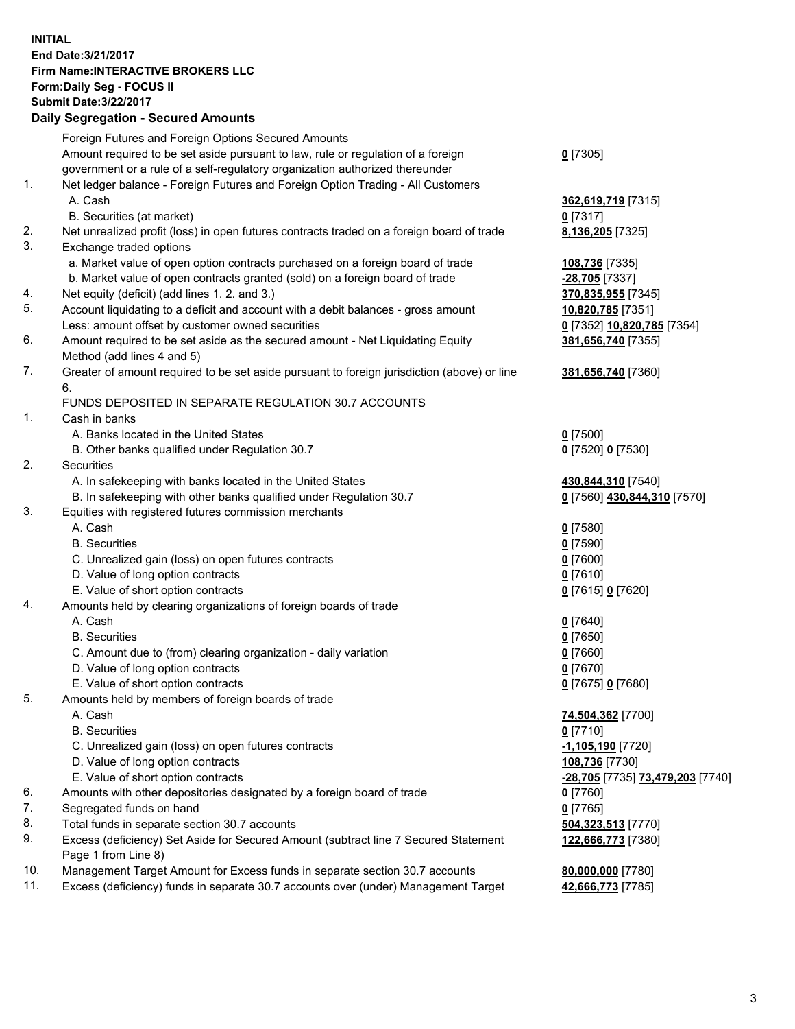## **INITIAL End Date:3/21/2017 Firm Name:INTERACTIVE BROKERS LLC Form:Daily Seg - FOCUS II Submit Date:3/22/2017 Daily Segregation - Secured Amounts**

## Foreign Futures and Foreign Options Secured Amounts Amount required to be set aside pursuant to law, rule or regulation of a foreign government or a rule of a self-regulatory organization authorized thereunder **0** [7305] 1. Net ledger balance - Foreign Futures and Foreign Option Trading - All Customers A. Cash **362,619,719** [7315] B. Securities (at market) **0** [7317] 2. Net unrealized profit (loss) in open futures contracts traded on a foreign board of trade **8,136,205** [7325] 3. Exchange traded options a. Market value of open option contracts purchased on a foreign board of trade **108,736** [7335] b. Market value of open contracts granted (sold) on a foreign board of trade **-28,705** [7337] 4. Net equity (deficit) (add lines 1. 2. and 3.) **370,835,955** [7345] 5. Account liquidating to a deficit and account with a debit balances - gross amount **10,820,785** [7351] Less: amount offset by customer owned securities **0** [7352] **10,820,785** [7354] 6. Amount required to be set aside as the secured amount - Net Liquidating Equity Method (add lines 4 and 5) **381,656,740** [7355] 7. Greater of amount required to be set aside pursuant to foreign jurisdiction (above) or line 6. **381,656,740** [7360] FUNDS DEPOSITED IN SEPARATE REGULATION 30.7 ACCOUNTS 1. Cash in banks A. Banks located in the United States **0** [7500] B. Other banks qualified under Regulation 30.7 **0** [7520] **0** [7530] 2. Securities A. In safekeeping with banks located in the United States **430,844,310** [7540] B. In safekeeping with other banks qualified under Regulation 30.7 **0** [7560] **430,844,310** [7570] 3. Equities with registered futures commission merchants A. Cash **0** [7580] B. Securities **0** [7590] C. Unrealized gain (loss) on open futures contracts **0** [7600] D. Value of long option contracts **0** [7610] E. Value of short option contracts **0** [7615] **0** [7620] 4. Amounts held by clearing organizations of foreign boards of trade A. Cash **0** [7640] B. Securities **0** [7650] C. Amount due to (from) clearing organization - daily variation **0** [7660] D. Value of long option contracts **0** [7670] E. Value of short option contracts **0** [7675] **0** [7680] 5. Amounts held by members of foreign boards of trade A. Cash **74,504,362** [7700] B. Securities **0** [7710] C. Unrealized gain (loss) on open futures contracts **-1,105,190** [7720] D. Value of long option contracts **108,736** [7730] E. Value of short option contracts **-28,705** [7735] **73,479,203** [7740] 6. Amounts with other depositories designated by a foreign board of trade **0** [7760] 7. Segregated funds on hand **0** [7765] 8. Total funds in separate section 30.7 accounts **504,323,513** [7770] 9. Excess (deficiency) Set Aside for Secured Amount (subtract line 7 Secured Statement Page 1 from Line 8) **122,666,773** [7380] 10. Management Target Amount for Excess funds in separate section 30.7 accounts **80,000,000** [7780] 11. Excess (deficiency) funds in separate 30.7 accounts over (under) Management Target **42,666,773** [7785]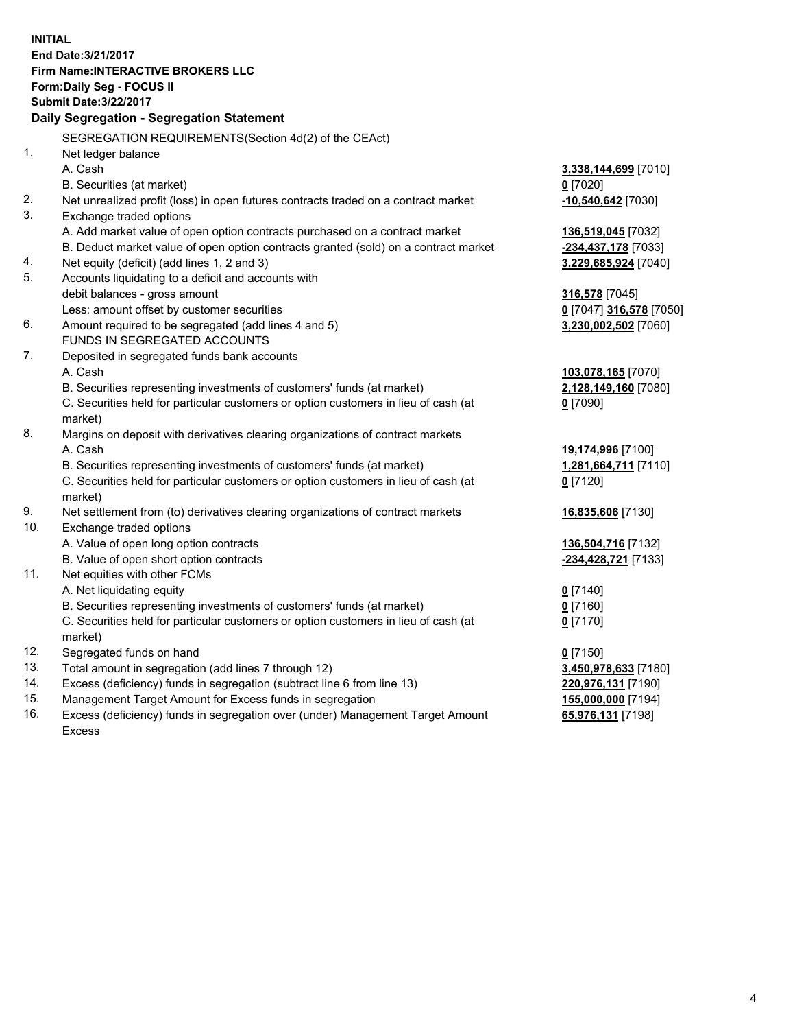**INITIAL End Date:3/21/2017 Firm Name:INTERACTIVE BROKERS LLC Form:Daily Seg - FOCUS II Submit Date:3/22/2017 Daily Segregation - Segregation Statement** SEGREGATION REQUIREMENTS(Section 4d(2) of the CEAct) 1. Net ledger balance A. Cash **3,338,144,699** [7010] B. Securities (at market) **0** [7020] 2. Net unrealized profit (loss) in open futures contracts traded on a contract market **-10,540,642** [7030] 3. Exchange traded options A. Add market value of open option contracts purchased on a contract market **136,519,045** [7032] B. Deduct market value of open option contracts granted (sold) on a contract market **-234,437,178** [7033] 4. Net equity (deficit) (add lines 1, 2 and 3) **3,229,685,924** [7040] 5. Accounts liquidating to a deficit and accounts with debit balances - gross amount **316,578** [7045] Less: amount offset by customer securities **0** [7047] **316,578** [7050] 6. Amount required to be segregated (add lines 4 and 5) **3,230,002,502** [7060] FUNDS IN SEGREGATED ACCOUNTS 7. Deposited in segregated funds bank accounts A. Cash **103,078,165** [7070] B. Securities representing investments of customers' funds (at market) **2,128,149,160** [7080] C. Securities held for particular customers or option customers in lieu of cash (at market) **0** [7090] 8. Margins on deposit with derivatives clearing organizations of contract markets A. Cash **19,174,996** [7100] B. Securities representing investments of customers' funds (at market) **1,281,664,711** [7110] C. Securities held for particular customers or option customers in lieu of cash (at market) **0** [7120] 9. Net settlement from (to) derivatives clearing organizations of contract markets **16,835,606** [7130] 10. Exchange traded options A. Value of open long option contracts **136,504,716** [7132] B. Value of open short option contracts **-234,428,721** [7133] 11. Net equities with other FCMs A. Net liquidating equity **0** [7140] B. Securities representing investments of customers' funds (at market) **0** [7160] C. Securities held for particular customers or option customers in lieu of cash (at market) **0** [7170] 12. Segregated funds on hand **0** [7150] 13. Total amount in segregation (add lines 7 through 12) **3,450,978,633** [7180] 14. Excess (deficiency) funds in segregation (subtract line 6 from line 13) **220,976,131** [7190] 15. Management Target Amount for Excess funds in segregation **155,000,000** [7194]

16. Excess (deficiency) funds in segregation over (under) Management Target Amount Excess

**65,976,131** [7198]